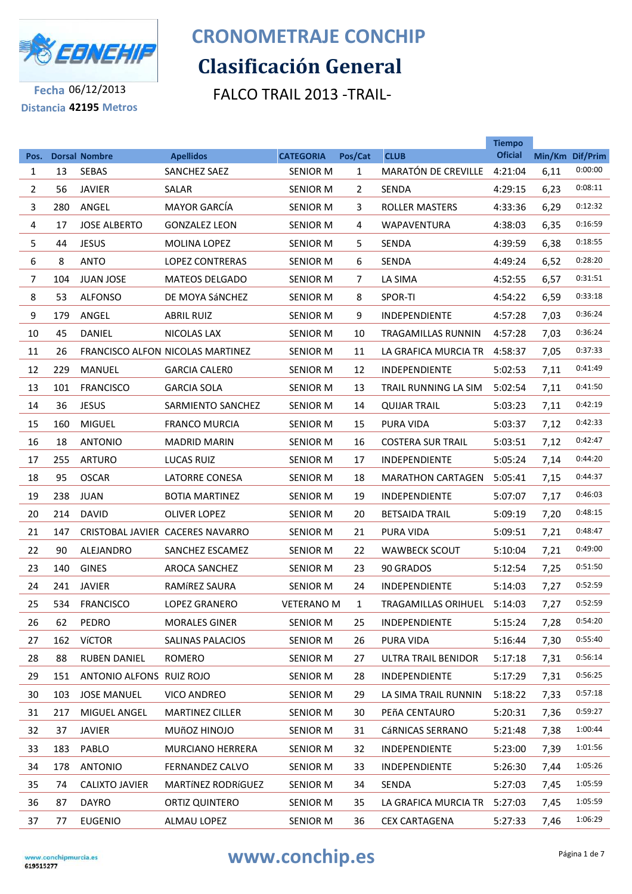

# **Clasificación General CRONOMETRAJE CONCHIP**

FALCO TRAIL 2013 -TRAIL-

**Tiempo** 

**Fecha** 06/12/2013 **Distancia 42195 Metros**

| Pos. |     | <b>Dorsal Nombre</b>     | <b>Apellidos</b>                        | <b>CATEGORIA</b>  | Pos/Cat      | <b>CLUB</b>                 | <b>Tiempo</b><br><b>Oficial</b> | Min/Km Dif/Prim |         |
|------|-----|--------------------------|-----------------------------------------|-------------------|--------------|-----------------------------|---------------------------------|-----------------|---------|
| 1    | 13  | <b>SEBAS</b>             | SANCHEZ SAEZ                            | <b>SENIOR M</b>   | $\mathbf{1}$ | MARATÓN DE CREVILLE         | 4:21:04                         | 6,11            | 0:00:00 |
| 2    | 56  | <b>JAVIER</b>            | SALAR                                   | <b>SENIOR M</b>   | 2            | SENDA                       | 4:29:15                         | 6,23            | 0:08:11 |
| 3    | 280 | ANGEL                    | <b>MAYOR GARCÍA</b>                     | <b>SENIOR M</b>   | 3            | <b>ROLLER MASTERS</b>       | 4:33:36                         | 6,29            | 0:12:32 |
| 4    | 17  | <b>JOSE ALBERTO</b>      | <b>GONZALEZ LEON</b>                    | <b>SENIOR M</b>   | 4            | <b>WAPAVENTURA</b>          | 4:38:03                         | 6,35            | 0:16:59 |
| 5    | 44  | <b>JESUS</b>             | MOLINA LOPEZ                            | <b>SENIOR M</b>   | 5            | SENDA                       | 4:39:59                         | 6,38            | 0:18:55 |
| 6    | 8   | <b>ANTO</b>              | <b>LOPEZ CONTRERAS</b>                  | <b>SENIOR M</b>   | 6            | <b>SENDA</b>                | 4:49:24                         | 6,52            | 0:28:20 |
| 7    | 104 | <b>JUAN JOSE</b>         | <b>MATEOS DELGADO</b>                   | <b>SENIOR M</b>   | 7            | LA SIMA                     | 4:52:55                         | 6,57            | 0:31:51 |
| 8    | 53  | <b>ALFONSO</b>           | DE MOYA SÁNCHEZ                         | <b>SENIOR M</b>   | 8            | SPOR-TI                     | 4:54:22                         | 6,59            | 0:33:18 |
| 9    | 179 | ANGEL                    | <b>ABRIL RUIZ</b>                       | <b>SENIOR M</b>   | 9            | <b>INDEPENDIENTE</b>        | 4:57:28                         | 7,03            | 0:36:24 |
| 10   | 45  | <b>DANIEL</b>            | NICOLAS LAX                             | <b>SENIOR M</b>   | 10           | TRAGAMILLAS RUNNIN          | 4:57:28                         | 7,03            | 0:36:24 |
| 11   | 26  |                          | <b>FRANCISCO ALFON NICOLAS MARTINEZ</b> | <b>SENIOR M</b>   | 11           | LA GRAFICA MURCIA TR        | 4:58:37                         | 7,05            | 0:37:33 |
| 12   | 229 | MANUEL                   | <b>GARCIA CALERO</b>                    | <b>SENIOR M</b>   | 12           | <b>INDEPENDIENTE</b>        | 5:02:53                         | 7,11            | 0:41:49 |
| 13   | 101 | <b>FRANCISCO</b>         | <b>GARCIA SOLA</b>                      | <b>SENIOR M</b>   | 13           | TRAIL RUNNING LA SIM        | 5:02:54                         | 7,11            | 0:41:50 |
| 14   | 36  | <b>JESUS</b>             | SARMIENTO SANCHEZ                       | <b>SENIOR M</b>   | 14           | <b>QUIJAR TRAIL</b>         | 5:03:23                         | 7,11            | 0:42:19 |
| 15   | 160 | <b>MIGUEL</b>            | <b>FRANCO MURCIA</b>                    | <b>SENIOR M</b>   | 15           | <b>PURA VIDA</b>            | 5:03:37                         | 7,12            | 0:42:33 |
| 16   | 18  | <b>ANTONIO</b>           | <b>MADRID MARIN</b>                     | <b>SENIOR M</b>   | 16           | <b>COSTERA SUR TRAIL</b>    | 5:03:51                         | 7,12            | 0:42:47 |
| 17   | 255 | <b>ARTURO</b>            | <b>LUCAS RUIZ</b>                       | <b>SENIOR M</b>   | 17           | INDEPENDIENTE               | 5:05:24                         | 7,14            | 0:44:20 |
| 18   | 95  | <b>OSCAR</b>             | LATORRE CONESA                          | <b>SENIOR M</b>   | 18           | <b>MARATHON CARTAGEN</b>    | 5:05:41                         | 7,15            | 0:44:37 |
| 19   | 238 | <b>JUAN</b>              | <b>BOTIA MARTINEZ</b>                   | <b>SENIOR M</b>   | 19           | <b>INDEPENDIENTE</b>        | 5:07:07                         | 7,17            | 0:46:03 |
| 20   | 214 | <b>DAVID</b>             | <b>OLIVER LOPEZ</b>                     | <b>SENIOR M</b>   | 20           | <b>BETSAIDA TRAIL</b>       | 5:09:19                         | 7,20            | 0:48:15 |
| 21   | 147 |                          | CRISTOBAL JAVIER CACERES NAVARRO        | <b>SENIOR M</b>   | 21           | <b>PURA VIDA</b>            | 5:09:51                         | 7,21            | 0:48:47 |
| 22   | 90  | ALEJANDRO                | SANCHEZ ESCAMEZ                         | <b>SENIOR M</b>   | 22           | <b>WAWBECK SCOUT</b>        | 5:10:04                         | 7,21            | 0:49:00 |
| 23   | 140 | <b>GINES</b>             | <b>AROCA SANCHEZ</b>                    | <b>SENIOR M</b>   | 23           | 90 GRADOS                   | 5:12:54                         | 7,25            | 0:51:50 |
| 24   | 241 | <b>JAVIER</b>            | RAMÍREZ SAURA                           | <b>SENIOR M</b>   | 24           | <b>INDEPENDIENTE</b>        | 5:14:03                         | 7,27            | 0:52:59 |
| 25   | 534 | <b>FRANCISCO</b>         | LOPEZ GRANERO                           | <b>VETERANO M</b> | $\mathbf{1}$ | TRAGAMILLAS ORIHUEL 5:14:03 |                                 | 7,27            | 0:52:59 |
| 26   | 62  | PEDRO                    | <b>MORALES GINER</b>                    | SENIOR M          | 25           | INDEPENDIENTE               | 5:15:24                         | 7,28            | 0:54:20 |
| 27   | 162 | <b>VÍCTOR</b>            | SALINAS PALACIOS                        | SENIOR M          | 26           | PURA VIDA                   | 5:16:44                         | 7,30            | 0:55:40 |
| 28   | 88  | <b>RUBEN DANIEL</b>      | ROMERO                                  | <b>SENIOR M</b>   | 27           | ULTRA TRAIL BENIDOR         | 5:17:18                         | 7,31            | 0:56:14 |
| 29   | 151 | ANTONIO ALFONS RUIZ ROJO |                                         | SENIOR M          | 28           | INDEPENDIENTE               | 5:17:29                         | 7,31            | 0:56:25 |
| 30   | 103 | <b>JOSE MANUEL</b>       | <b>VICO ANDREO</b>                      | SENIOR M          | 29           | LA SIMA TRAIL RUNNIN        | 5:18:22                         | 7,33            | 0:57:18 |
| 31   | 217 | MIGUEL ANGEL             | <b>MARTINEZ CILLER</b>                  | <b>SENIOR M</b>   | 30           | PEñA CENTAURO               | 5:20:31                         | 7,36            | 0:59:27 |
| 32   | 37  | JAVIER                   | MUÑOZ HINOJO                            | SENIOR M          | 31           | CáRNICAS SERRANO            | 5:21:48                         | 7,38            | 1:00:44 |
| 33   | 183 | PABLO                    | <b>MURCIANO HERRERA</b>                 | <b>SENIOR M</b>   | 32           | INDEPENDIENTE               | 5:23:00                         | 7,39            | 1:01:56 |
| 34   | 178 | <b>ANTONIO</b>           | FERNANDEZ CALVO                         | SENIOR M          | 33           | INDEPENDIENTE               | 5:26:30                         | 7,44            | 1:05:26 |
| 35   | 74  | <b>CALIXTO JAVIER</b>    | MARTÍNEZ RODRÍGUEZ                      | <b>SENIOR M</b>   | 34           | SENDA                       | 5:27:03                         | 7,45            | 1:05:59 |
| 36   | 87  | <b>DAYRO</b>             | ORTIZ QUINTERO                          | SENIOR M          | 35           | LA GRAFICA MURCIA TR        | 5:27:03                         | 7,45            | 1:05:59 |
| 37   | 77  | <b>EUGENIO</b>           | ALMAU LOPEZ                             | <b>SENIOR M</b>   | 36           | <b>CEX CARTAGENA</b>        | 5:27:33                         | 7,46            | 1:06:29 |
|      |     |                          |                                         |                   |              |                             |                                 |                 |         |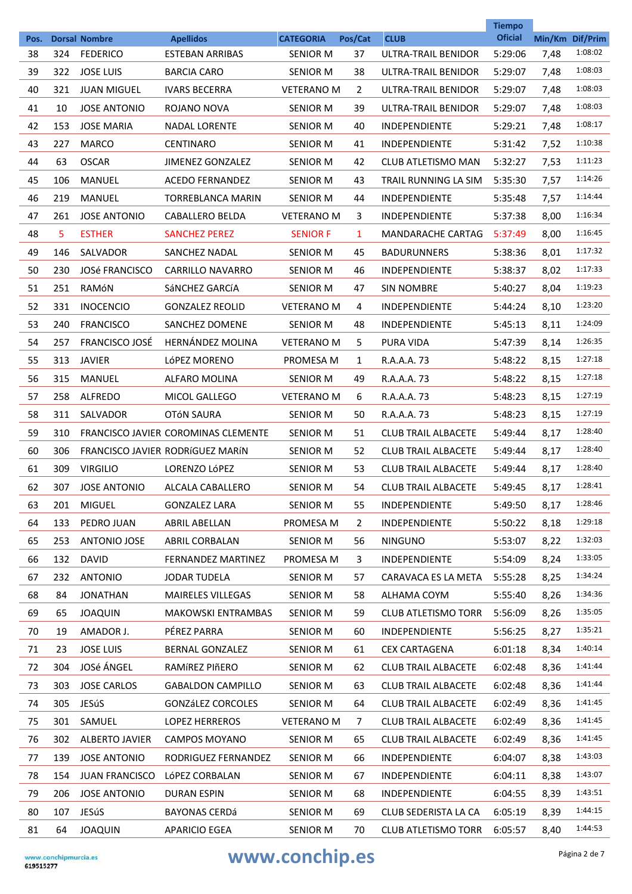|            |     |                                         |                                            |                                     |                |                                    | <b>Tiempo</b><br><b>Oficial</b> |      |                            |
|------------|-----|-----------------------------------------|--------------------------------------------|-------------------------------------|----------------|------------------------------------|---------------------------------|------|----------------------------|
| Pos.<br>38 | 324 | <b>Dorsal Nombre</b><br><b>FEDERICO</b> | <b>Apellidos</b><br><b>ESTEBAN ARRIBAS</b> | <b>CATEGORIA</b><br><b>SENIOR M</b> | Pos/Cat<br>37  | <b>CLUB</b><br>ULTRA-TRAIL BENIDOR | 5:29:06                         | 7,48 | Min/Km Dif/Prim<br>1:08:02 |
| 39         | 322 | <b>JOSE LUIS</b>                        | <b>BARCIA CARO</b>                         | <b>SENIOR M</b>                     | 38             | ULTRA-TRAIL BENIDOR                | 5:29:07                         | 7,48 | 1:08:03                    |
| 40         | 321 | <b>JUAN MIGUEL</b>                      | <b>IVARS BECERRA</b>                       | <b>VETERANO M</b>                   | $\overline{2}$ | ULTRA-TRAIL BENIDOR                | 5:29:07                         | 7,48 | 1:08:03                    |
| 41         | 10  | <b>JOSE ANTONIO</b>                     | ROJANO NOVA                                | <b>SENIOR M</b>                     | 39             | ULTRA-TRAIL BENIDOR                | 5:29:07                         | 7,48 | 1:08:03                    |
| 42         | 153 | <b>JOSE MARIA</b>                       | <b>NADAL LORENTE</b>                       | <b>SENIOR M</b>                     | 40             | <b>INDEPENDIENTE</b>               | 5:29:21                         | 7,48 | 1:08:17                    |
| 43         | 227 | <b>MARCO</b>                            | <b>CENTINARO</b>                           | <b>SENIOR M</b>                     | 41             | <b>INDEPENDIENTE</b>               | 5:31:42                         | 7,52 | 1:10:38                    |
| 44         | 63  | <b>OSCAR</b>                            | <b>JIMENEZ GONZALEZ</b>                    | <b>SENIOR M</b>                     | 42             | CLUB ATLETISMO MAN                 | 5:32:27                         | 7,53 | 1:11:23                    |
| 45         | 106 | <b>MANUEL</b>                           | <b>ACEDO FERNANDEZ</b>                     | <b>SENIOR M</b>                     | 43             | TRAIL RUNNING LA SIM               | 5:35:30                         | 7,57 | 1:14:26                    |
| 46         | 219 | MANUEL                                  | TORREBLANCA MARIN                          | <b>SENIOR M</b>                     | 44             | <b>INDEPENDIENTE</b>               | 5:35:48                         | 7,57 | 1:14:44                    |
| 47         | 261 | <b>JOSE ANTONIO</b>                     | CABALLERO BELDA                            | <b>VETERANO M</b>                   | 3              | <b>INDEPENDIENTE</b>               | 5:37:38                         | 8,00 | 1:16:34                    |
| 48         | 5.  | <b>ESTHER</b>                           | <b>SANCHEZ PEREZ</b>                       | <b>SENIOR F</b>                     | $\mathbf{1}$   | <b>MANDARACHE CARTAG</b>           | 5:37:49                         | 8,00 | 1:16:45                    |
| 49         | 146 | SALVADOR                                | SANCHEZ NADAL                              | <b>SENIOR M</b>                     | 45             | <b>BADURUNNERS</b>                 | 5:38:36                         | 8,01 | 1:17:32                    |
| 50         | 230 | <b>JOSé FRANCISCO</b>                   | <b>CARRILLO NAVARRO</b>                    | <b>SENIOR M</b>                     | 46             | <b>INDEPENDIENTE</b>               | 5:38:37                         | 8,02 | 1:17:33                    |
| 51         | 251 | RAMÓN                                   | SÁNCHEZ GARCÍA                             | <b>SENIOR M</b>                     | 47             | <b>SIN NOMBRE</b>                  | 5:40:27                         | 8,04 | 1:19:23                    |
| 52         | 331 | <b>INOCENCIO</b>                        | <b>GONZALEZ REOLID</b>                     | <b>VETERANO M</b>                   | 4              | <b>INDEPENDIENTE</b>               | 5:44:24                         | 8,10 | 1:23:20                    |
| 53         | 240 | <b>FRANCISCO</b>                        | SANCHEZ DOMENE                             | <b>SENIOR M</b>                     | 48             | <b>INDEPENDIENTE</b>               | 5:45:13                         | 8,11 | 1:24:09                    |
| 54         | 257 | FRANCISCO JOSÉ                          | <b>HERNÁNDEZ MOLINA</b>                    | <b>VETERANO M</b>                   | 5              | PURA VIDA                          | 5:47:39                         | 8,14 | 1:26:35                    |
| 55         | 313 | <b>JAVIER</b>                           | LÓPEZ MORENO                               | PROMESA M                           | $\mathbf{1}$   | R.A.A.A. 73                        | 5:48:22                         | 8,15 | 1:27:18                    |
| 56         | 315 | MANUEL                                  | ALFARO MOLINA                              | SENIOR M                            | 49             | R.A.A.A. 73                        | 5:48:22                         | 8,15 | 1:27:18                    |
| 57         | 258 | ALFREDO                                 | <b>MICOL GALLEGO</b>                       | <b>VETERANO M</b>                   | 6              | R.A.A.A. 73                        | 5:48:23                         | 8,15 | 1:27:19                    |
| 58         | 311 | SALVADOR                                | <b>OTÓN SAURA</b>                          | <b>SENIOR M</b>                     | 50             | R.A.A.A. 73                        | 5:48:23                         | 8,15 | 1:27:19                    |
| 59         | 310 |                                         | FRANCISCO JAVIER COROMINAS CLEMENTE        | SENIOR M                            | 51             | <b>CLUB TRAIL ALBACETE</b>         | 5:49:44                         | 8,17 | 1:28:40                    |
| 60         | 306 |                                         | FRANCISCO JAVIER RODRÍGUEZ MARÍN           | <b>SENIOR M</b>                     | 52             | <b>CLUB TRAIL ALBACETE</b>         | 5:49:44                         | 8,17 | 1:28:40                    |
| 61         | 309 | <b>VIRGILIO</b>                         | LORENZO LÓPEZ                              | <b>SENIOR M</b>                     | 53             | <b>CLUB TRAIL ALBACETE</b>         | 5:49:44                         | 8,17 | 1:28:40                    |
| 62         | 307 | <b>JOSE ANTONIO</b>                     | <b>ALCALA CABALLERO</b>                    | <b>SENIOR M</b>                     | 54             | <b>CLUB TRAIL ALBACETE</b>         | 5:49:45                         | 8,17 | 1:28:41                    |
| 63         | 201 | <b>MIGUEL</b>                           | <b>GONZALEZ LARA</b>                       | <b>SENIOR M</b>                     | 55             | INDEPENDIENTE                      | 5:49:50                         | 8,17 | 1:28:46                    |
| 64         | 133 | PEDRO JUAN                              | <b>ABRIL ABELLAN</b>                       | PROMESA M                           | 2              | <b>INDEPENDIENTE</b>               | 5:50:22                         | 8,18 | 1:29:18                    |
| 65         | 253 | ANTONIO JOSE                            | ABRIL CORBALAN                             | <b>SENIOR M</b>                     | 56             | <b>NINGUNO</b>                     | 5:53:07                         | 8,22 | 1:32:03                    |
| 66         | 132 | <b>DAVID</b>                            | FERNANDEZ MARTINEZ                         | PROMESA M                           | 3              | INDEPENDIENTE                      | 5:54:09                         | 8,24 | 1:33:05                    |
| 67         | 232 | <b>ANTONIO</b>                          | <b>JODAR TUDELA</b>                        | <b>SENIOR M</b>                     | 57             | CARAVACA ES LA META                | 5:55:28                         | 8,25 | 1:34:24                    |
| 68         | 84  | <b>JONATHAN</b>                         | MAIRELES VILLEGAS                          | SENIOR M                            | 58             | ALHAMA COYM                        | 5:55:40                         | 8,26 | 1:34:36                    |
| 69         | 65  | <b>JOAQUIN</b>                          | <b>MAKOWSKI ENTRAMBAS</b>                  | <b>SENIOR M</b>                     | 59             | <b>CLUB ATLETISMO TORR</b>         | 5:56:09                         | 8,26 | 1:35:05                    |
| 70         | 19  | AMADOR J.                               | PÉREZ PARRA                                | SENIOR M                            | 60             | <b>INDEPENDIENTE</b>               | 5:56:25                         | 8,27 | 1:35:21                    |
| 71         | 23  | <b>JOSE LUIS</b>                        | BERNAL GONZALEZ                            | SENIOR M                            | 61             | <b>CEX CARTAGENA</b>               | 6:01:18                         | 8,34 | 1:40:14                    |
| 72         | 304 | JOSé ÁNGEL                              | RAMÍREZ PIÑERO                             | SENIOR M                            | 62             | <b>CLUB TRAIL ALBACETE</b>         | 6:02:48                         | 8,36 | 1:41:44                    |
| 73         | 303 | <b>JOSE CARLOS</b>                      | <b>GABALDON CAMPILLO</b>                   | SENIOR M                            | 63             | <b>CLUB TRAIL ALBACETE</b>         | 6:02:48                         | 8,36 | 1:41:44                    |
| 74         | 305 | JESúS                                   | <b>GONZÁLEZ CORCOLES</b>                   | <b>SENIOR M</b>                     | 64             | <b>CLUB TRAIL ALBACETE</b>         | 6:02:49                         | 8,36 | 1:41:45                    |
| 75         | 301 | SAMUEL                                  | <b>LOPEZ HERREROS</b>                      | <b>VETERANO M</b>                   | 7              | <b>CLUB TRAIL ALBACETE</b>         | 6:02:49                         | 8,36 | 1:41:45                    |
| 76         | 302 | <b>ALBERTO JAVIER</b>                   | CAMPOS MOYANO                              | SENIOR M                            | 65             | <b>CLUB TRAIL ALBACETE</b>         | 6:02:49                         | 8,36 | 1:41:45                    |
| 77         | 139 | <b>JOSE ANTONIO</b>                     | RODRIGUEZ FERNANDEZ                        | SENIOR M                            | 66             | INDEPENDIENTE                      | 6:04:07                         | 8,38 | 1:43:03                    |
| 78         | 154 | <b>JUAN FRANCISCO</b>                   | LÓPEZ CORBALAN                             | SENIOR M                            | 67             | INDEPENDIENTE                      | 6:04:11                         | 8,38 | 1:43:07                    |
| 79         | 206 | <b>JOSE ANTONIO</b>                     | <b>DURAN ESPIN</b>                         | SENIOR M                            | 68             | <b>INDEPENDIENTE</b>               | 6:04:55                         | 8,39 | 1:43:51                    |
| 80         | 107 | JESúS                                   | <b>BAYONAS CERDá</b>                       | SENIOR M                            | 69             | CLUB SEDERISTA LA CA               | 6:05:19                         | 8,39 | 1:44:15                    |
| 81         | 64  | <b>JOAQUIN</b>                          | APARICIO EGEA                              | <b>SENIOR M</b>                     | 70             | CLUB ATLETISMO TORR                | 6:05:57                         | 8,40 | 1:44:53                    |
|            |     |                                         |                                            |                                     |                |                                    |                                 |      |                            |

# WWW.CONChip.es Página 2 de 7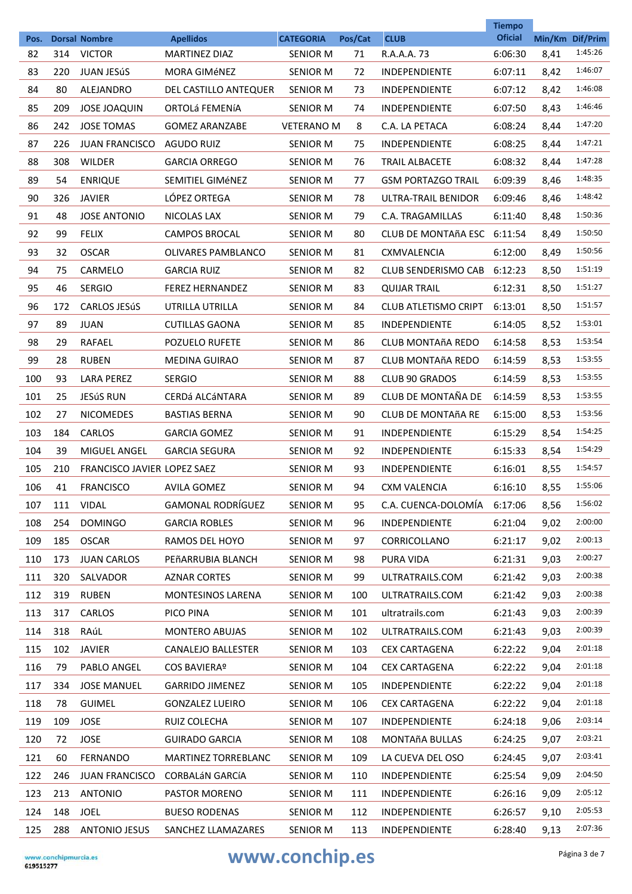| Pos. |     | <b>Dorsal Nombre</b>        | <b>Apellidos</b>           | <b>CATEGORIA</b>  | Pos/Cat | <b>CLUB</b>                 | <b>Tiempo</b><br><b>Oficial</b> |      | Min/Km Dif/Prim |
|------|-----|-----------------------------|----------------------------|-------------------|---------|-----------------------------|---------------------------------|------|-----------------|
| 82   | 314 | <b>VICTOR</b>               | <b>MARTINEZ DIAZ</b>       | <b>SENIOR M</b>   | 71      | R.A.A.A. 73                 | 6:06:30                         | 8,41 | 1:45:26         |
| 83   | 220 | <b>JUAN JESÚS</b>           | <b>MORA GIMÉNEZ</b>        | <b>SENIOR M</b>   | 72      | <b>INDEPENDIENTE</b>        | 6:07:11                         | 8,42 | 1:46:07         |
| 84   | 80  | ALEJANDRO                   | DEL CASTILLO ANTEQUER      | <b>SENIOR M</b>   | 73      | <b>INDEPENDIENTE</b>        | 6:07:12                         | 8,42 | 1:46:08         |
| 85   | 209 | <b>JOSE JOAQUIN</b>         | ORTOLÁ FEMENÍA             | <b>SENIOR M</b>   | 74      | <b>INDEPENDIENTE</b>        | 6:07:50                         | 8,43 | 1:46:46         |
| 86   | 242 | <b>JOSE TOMAS</b>           | <b>GOMEZ ARANZABE</b>      | <b>VETERANO M</b> | 8       | C.A. LA PETACA              | 6:08:24                         | 8,44 | 1:47:20         |
| 87   | 226 | <b>JUAN FRANCISCO</b>       | <b>AGUDO RUIZ</b>          | <b>SENIOR M</b>   | 75      | <b>INDEPENDIENTE</b>        | 6:08:25                         | 8,44 | 1:47:21         |
| 88   | 308 | <b>WILDER</b>               | <b>GARCIA ORREGO</b>       | <b>SENIOR M</b>   | 76      | <b>TRAIL ALBACETE</b>       | 6:08:32                         | 8,44 | 1:47:28         |
| 89   | 54  | <b>ENRIQUE</b>              | SEMITIEL GIMÉNEZ           | <b>SENIOR M</b>   | 77      | <b>GSM PORTAZGO TRAIL</b>   | 6:09:39                         | 8,46 | 1:48:35         |
| 90   | 326 | <b>JAVIER</b>               | LÓPEZ ORTEGA               | <b>SENIOR M</b>   | 78      | ULTRA-TRAIL BENIDOR         | 6:09:46                         | 8,46 | 1:48:42         |
| 91   | 48  | <b>JOSE ANTONIO</b>         | NICOLAS LAX                | <b>SENIOR M</b>   | 79      | <b>C.A. TRAGAMILLAS</b>     | 6:11:40                         | 8,48 | 1:50:36         |
| 92   | 99  | <b>FELIX</b>                | <b>CAMPOS BROCAL</b>       | <b>SENIOR M</b>   | 80      | <b>CLUB DE MONTAÑA ESC</b>  | 6:11:54                         | 8,49 | 1:50:50         |
| 93   | 32  | <b>OSCAR</b>                | OLIVARES PAMBLANCO         | <b>SENIOR M</b>   | 81      | <b>CXMVALENCIA</b>          | 6:12:00                         | 8,49 | 1:50:56         |
| 94   | 75  | CARMELO                     | <b>GARCIA RUIZ</b>         | <b>SENIOR M</b>   | 82      | <b>CLUB SENDERISMO CAB</b>  | 6:12:23                         | 8,50 | 1:51:19         |
| 95   | 46  | <b>SERGIO</b>               | <b>FEREZ HERNANDEZ</b>     | <b>SENIOR M</b>   | 83      | <b>QUIJAR TRAIL</b>         | 6:12:31                         | 8,50 | 1:51:27         |
| 96   | 172 | <b>CARLOS JESÚS</b>         | UTRILLA UTRILLA            | <b>SENIOR M</b>   | 84      | <b>CLUB ATLETISMO CRIPT</b> | 6:13:01                         | 8,50 | 1:51:57         |
| 97   | 89  | <b>JUAN</b>                 | <b>CUTILLAS GAONA</b>      | <b>SENIOR M</b>   | 85      | <b>INDEPENDIENTE</b>        | 6:14:05                         | 8,52 | 1:53:01         |
| 98   | 29  | <b>RAFAEL</b>               | POZUELO RUFETE             | <b>SENIOR M</b>   | 86      | <b>CLUB MONTAñA REDO</b>    | 6:14:58                         | 8,53 | 1:53:54         |
| 99   | 28  | <b>RUBEN</b>                | <b>MEDINA GUIRAO</b>       | <b>SENIOR M</b>   | 87      | <b>CLUB MONTAñA REDO</b>    | 6:14:59                         | 8,53 | 1:53:55         |
| 100  | 93  | <b>LARA PEREZ</b>           | <b>SERGIO</b>              | <b>SENIOR M</b>   | 88      | <b>CLUB 90 GRADOS</b>       | 6:14:59                         | 8,53 | 1:53:55         |
| 101  | 25  | <b>JESÚS RUN</b>            | CERDá ALCáNTARA            | <b>SENIOR M</b>   | 89      | CLUB DE MONTAÑA DE          | 6:14:59                         | 8,53 | 1:53:55         |
| 102  | 27  | <b>NICOMEDES</b>            | <b>BASTIAS BERNA</b>       | <b>SENIOR M</b>   | 90      | <b>CLUB DE MONTAÑA RE</b>   | 6:15:00                         | 8,53 | 1:53:56         |
| 103  | 184 | CARLOS                      | <b>GARCIA GOMEZ</b>        | <b>SENIOR M</b>   | 91      | <b>INDEPENDIENTE</b>        | 6:15:29                         | 8,54 | 1:54:25         |
| 104  | 39  | MIGUEL ANGEL                | <b>GARCIA SEGURA</b>       | <b>SENIOR M</b>   | 92      | <b>INDEPENDIENTE</b>        | 6:15:33                         | 8,54 | 1:54:29         |
| 105  | 210 | FRANCISCO JAVIER LOPEZ SAEZ |                            | <b>SENIOR M</b>   | 93      | <b>INDEPENDIENTE</b>        | 6:16:01                         | 8,55 | 1:54:57         |
| 106  | 41  | <b>FRANCISCO</b>            | <b>AVILA GOMEZ</b>         | <b>SENIOR M</b>   | 94      | <b>CXM VALENCIA</b>         | 6:16:10                         | 8,55 | 1:55:06         |
| 107  | 111 | VIDAL                       | <b>GAMONAL RODRÍGUEZ</b>   | <b>SENIOR M</b>   | 95      | C.A. CUENCA-DOLOMÍA         | 6:17:06                         | 8,56 | 1:56:02         |
| 108  | 254 | <b>DOMINGO</b>              | <b>GARCIA ROBLES</b>       | SENIOR M          | 96      | INDEPENDIENTE               | 6:21:04                         | 9,02 | 2:00:00         |
| 109  | 185 | <b>OSCAR</b>                | RAMOS DEL HOYO             | SENIOR M          | 97      | CORRICOLLANO                | 6:21:17                         | 9,02 | 2:00:13         |
| 110  | 173 | <b>JUAN CARLOS</b>          | PEñARRUBIA BLANCH          | SENIOR M          | 98      | PURA VIDA                   | 6:21:31                         | 9,03 | 2:00:27         |
| 111  | 320 | SALVADOR                    | <b>AZNAR CORTES</b>        | SENIOR M          | 99      | ULTRATRAILS.COM             | 6:21:42                         | 9,03 | 2:00:38         |
| 112  | 319 | <b>RUBEN</b>                | MONTESINOS LARENA          | SENIOR M          | 100     | ULTRATRAILS.COM             | 6:21:42                         | 9,03 | 2:00:38         |
| 113  | 317 | CARLOS                      | PICO PINA                  | SENIOR M          | 101     | ultratrails.com             | 6:21:43                         | 9,03 | 2:00:39         |
| 114  | 318 | RAúL                        | MONTERO ABUJAS             | <b>SENIOR M</b>   | 102     | ULTRATRAILS.COM             | 6:21:43                         | 9,03 | 2:00:39         |
| 115  | 102 | JAVIER                      | CANALEJO BALLESTER         | SENIOR M          | 103     | <b>CEX CARTAGENA</b>        | 6:22:22                         | 9,04 | 2:01:18         |
| 116  | 79  | PABLO ANGEL                 | <b>COS BAVIERAº</b>        | SENIOR M          | 104     | <b>CEX CARTAGENA</b>        | 6:22:22                         | 9,04 | 2:01:18         |
| 117  | 334 | <b>JOSE MANUEL</b>          | <b>GARRIDO JIMENEZ</b>     | SENIOR M          | 105     | INDEPENDIENTE               | 6:22:22                         | 9,04 | 2:01:18         |
| 118  | 78  | <b>GUIMEL</b>               | <b>GONZALEZ LUEIRO</b>     | <b>SENIOR M</b>   | 106     | <b>CEX CARTAGENA</b>        | 6:22:22                         | 9,04 | 2:01:18         |
| 119  | 109 | JOSE                        | RUIZ COLECHA               | SENIOR M          | 107     | INDEPENDIENTE               | 6:24:18                         | 9,06 | 2:03:14         |
| 120  | 72  | JOSE                        | <b>GUIRADO GARCIA</b>      | <b>SENIOR M</b>   | 108     | MONTAñA BULLAS              | 6:24:25                         | 9,07 | 2:03:21         |
| 121  | 60  | <b>FERNANDO</b>             | <b>MARTINEZ TORREBLANC</b> | SENIOR M          | 109     | LA CUEVA DEL OSO            | 6:24:45                         | 9,07 | 2:03:41         |
| 122  | 246 | <b>JUAN FRANCISCO</b>       | <b>CORBALÁN GARCÍA</b>     | SENIOR M          | 110     | INDEPENDIENTE               | 6:25:54                         | 9,09 | 2:04:50         |
| 123  | 213 | <b>ANTONIO</b>              | PASTOR MORENO              | SENIOR M          | 111     | INDEPENDIENTE               | 6:26:16                         | 9,09 | 2:05:12         |
| 124  | 148 | <b>JOEL</b>                 | <b>BUESO RODENAS</b>       | SENIOR M          | 112     | INDEPENDIENTE               | 6:26:57                         | 9,10 | 2:05:53         |
| 125  | 288 | <b>ANTONIO JESUS</b>        | SANCHEZ LLAMAZARES         | SENIOR M          | 113     | INDEPENDIENTE               | 6:28:40                         | 9,13 | 2:07:36         |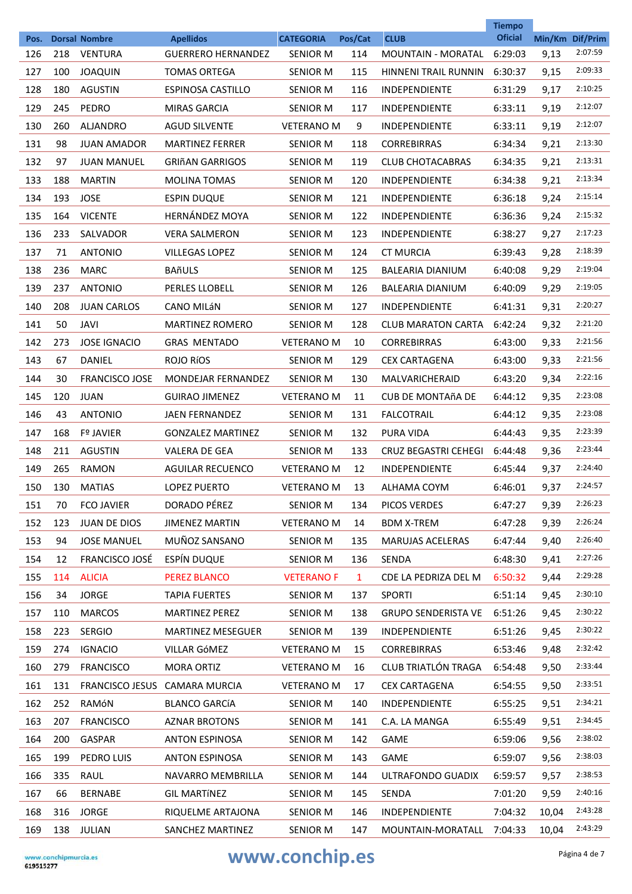|      |     |                       |                                               |                   |              |                             | <b>Tiempo</b>  |       |                            |
|------|-----|-----------------------|-----------------------------------------------|-------------------|--------------|-----------------------------|----------------|-------|----------------------------|
| Pos. |     | <b>Dorsal Nombre</b>  | <b>Apellidos</b><br><b>GUERRERO HERNANDEZ</b> | <b>CATEGORIA</b>  | Pos/Cat      | <b>CLUB</b>                 | <b>Oficial</b> |       | Min/Km Dif/Prim<br>2:07:59 |
| 126  | 218 | <b>VENTURA</b>        |                                               | SENIOR M          | 114          | <b>MOUNTAIN - MORATAL</b>   | 6:29:03        | 9,13  | 2:09:33                    |
| 127  | 100 | <b>JOAQUIN</b>        | <b>TOMAS ORTEGA</b>                           | <b>SENIOR M</b>   | 115          | <b>HINNENI TRAIL RUNNIN</b> | 6:30:37        | 9,15  | 2:10:25                    |
| 128  | 180 | <b>AGUSTIN</b>        | <b>ESPINOSA CASTILLO</b>                      | <b>SENIOR M</b>   | 116          | <b>INDEPENDIENTE</b>        | 6:31:29        | 9,17  | 2:12:07                    |
| 129  | 245 | PEDRO                 | <b>MIRAS GARCIA</b>                           | <b>SENIOR M</b>   | 117          | <b>INDEPENDIENTE</b>        | 6:33:11        | 9,19  | 2:12:07                    |
| 130  | 260 | <b>ALIANDRO</b>       | <b>AGUD SILVENTE</b>                          | <b>VETERANO M</b> | 9            | <b>INDEPENDIENTE</b>        | 6:33:11        | 9,19  |                            |
| 131  | 98  | <b>JUAN AMADOR</b>    | <b>MARTINEZ FERRER</b>                        | <b>SENIOR M</b>   | 118          | <b>CORREBIRRAS</b>          | 6:34:34        | 9,21  | 2:13:30                    |
| 132  | 97  | <b>JUAN MANUEL</b>    | <b>GRIñAN GARRIGOS</b>                        | <b>SENIOR M</b>   | 119          | <b>CLUB CHOTACABRAS</b>     | 6:34:35        | 9,21  | 2:13:31                    |
| 133  | 188 | <b>MARTIN</b>         | <b>MOLINA TOMAS</b>                           | <b>SENIOR M</b>   | 120          | <b>INDEPENDIENTE</b>        | 6:34:38        | 9,21  | 2:13:34                    |
| 134  | 193 | <b>JOSE</b>           | <b>ESPIN DUQUE</b>                            | <b>SENIOR M</b>   | 121          | <b>INDEPENDIENTE</b>        | 6:36:18        | 9,24  | 2:15:14                    |
| 135  | 164 | <b>VICENTE</b>        | <b>HERNÁNDEZ MOYA</b>                         | <b>SENIOR M</b>   | 122          | <b>INDEPENDIENTE</b>        | 6:36:36        | 9,24  | 2:15:32                    |
| 136  | 233 | SALVADOR              | <b>VERA SALMERON</b>                          | <b>SENIOR M</b>   | 123          | <b>INDEPENDIENTE</b>        | 6:38:27        | 9,27  | 2:17:23                    |
| 137  | 71  | <b>ANTONIO</b>        | <b>VILLEGAS LOPEZ</b>                         | <b>SENIOR M</b>   | 124          | <b>CT MURCIA</b>            | 6:39:43        | 9,28  | 2:18:39                    |
| 138  | 236 | <b>MARC</b>           | <b>BAñULS</b>                                 | SENIOR M          | 125          | BALEARIA DIANIUM            | 6:40:08        | 9,29  | 2:19:04                    |
| 139  | 237 | <b>ANTONIO</b>        | PERLES LLOBELL                                | <b>SENIOR M</b>   | 126          | <b>BALEARIA DIANIUM</b>     | 6:40:09        | 9,29  | 2:19:05                    |
| 140  | 208 | <b>JUAN CARLOS</b>    | <b>CANO MILÁN</b>                             | <b>SENIOR M</b>   | 127          | <b>INDEPENDIENTE</b>        | 6:41:31        | 9,31  | 2:20:27                    |
| 141  | 50  | JAVI                  | <b>MARTINEZ ROMERO</b>                        | <b>SENIOR M</b>   | 128          | <b>CLUB MARATON CARTA</b>   | 6:42:24        | 9,32  | 2:21:20                    |
| 142  | 273 | <b>JOSE IGNACIO</b>   | <b>GRAS MENTADO</b>                           | <b>VETERANO M</b> | 10           | <b>CORREBIRRAS</b>          | 6:43:00        | 9,33  | 2:21:56                    |
| 143  | 67  | DANIEL                | ROJO RÍOS                                     | <b>SENIOR M</b>   | 129          | <b>CEX CARTAGENA</b>        | 6:43:00        | 9,33  | 2:21:56                    |
| 144  | 30  | <b>FRANCISCO JOSE</b> | <b>MONDEJAR FERNANDEZ</b>                     | SENIOR M          | 130          | MALVARICHERAID              | 6:43:20        | 9,34  | 2:22:16                    |
| 145  | 120 | JUAN                  | <b>GUIRAO JIMENEZ</b>                         | <b>VETERANO M</b> | 11           | CUB DE MONTAñA DE           | 6:44:12        | 9,35  | 2:23:08                    |
| 146  | 43  | <b>ANTONIO</b>        | <b>JAEN FERNANDEZ</b>                         | <b>SENIOR M</b>   | 131          | <b>FALCOTRAIL</b>           | 6:44:12        | 9,35  | 2:23:08                    |
| 147  | 168 | <b>Fº JAVIER</b>      | <b>GONZALEZ MARTINEZ</b>                      | <b>SENIOR M</b>   | 132          | <b>PURA VIDA</b>            | 6:44:43        | 9,35  | 2:23:39                    |
| 148  | 211 | <b>AGUSTIN</b>        | <b>VALERA DE GEA</b>                          | <b>SENIOR M</b>   | 133          | <b>CRUZ BEGASTRI CEHEGI</b> | 6:44:48        | 9,36  | 2:23:44                    |
| 149  | 265 | <b>RAMON</b>          | <b>AGUILAR RECUENCO</b>                       | <b>VETERANO M</b> | 12           | <b>INDEPENDIENTE</b>        | 6:45:44        | 9,37  | 2:24:40                    |
| 150  | 130 | <b>MATIAS</b>         | <b>LOPEZ PUERTO</b>                           | <b>VETERANO M</b> | 13           | ALHAMA COYM                 | 6:46:01        | 9,37  | 2:24:57                    |
| 151  | 70  | <b>FCO JAVIER</b>     | DORADO PÉREZ                                  | <b>SENIOR M</b>   | 134          | PICOS VERDES                | 6:47:27        | 9,39  | 2:26:23                    |
| 152  | 123 | <b>JUAN DE DIOS</b>   | <b>JIMENEZ MARTIN</b>                         | <b>VETERANO M</b> | 14           | <b>BDM X-TREM</b>           | 6:47:28        | 9,39  | 2:26:24                    |
| 153  | 94  | <b>JOSE MANUEL</b>    | MUÑOZ SANSANO                                 | SENIOR M          | 135          | <b>MARUJAS ACELERAS</b>     | 6:47:44        | 9,40  | 2:26:40                    |
| 154  | 12  | FRANCISCO JOSÉ        | ESPÍN DUQUE                                   | SENIOR M          | 136          | SENDA                       | 6:48:30        | 9,41  | 2:27:26                    |
| 155  | 114 | <b>ALICIA</b>         | <b>PEREZ BLANCO</b>                           | <b>VETERANO F</b> | $\mathbf{1}$ | CDE LA PEDRIZA DEL M        | 6:50:32        | 9,44  | 2:29:28                    |
| 156  | 34  | <b>JORGE</b>          | <b>TAPIA FUERTES</b>                          | SENIOR M          | 137          | <b>SPORTI</b>               | 6:51:14        | 9,45  | 2:30:10                    |
| 157  | 110 | <b>MARCOS</b>         | <b>MARTINEZ PEREZ</b>                         | <b>SENIOR M</b>   | 138          | <b>GRUPO SENDERISTA VE</b>  | 6:51:26        | 9,45  | 2:30:22                    |
| 158  | 223 | <b>SERGIO</b>         | <b>MARTINEZ MESEGUER</b>                      | <b>SENIOR M</b>   | 139          | INDEPENDIENTE               | 6:51:26        | 9,45  | 2:30:22                    |
| 159  | 274 | <b>IGNACIO</b>        | VILLAR GÓMEZ                                  | <b>VETERANO M</b> | 15           | <b>CORREBIRRAS</b>          | 6:53:46        | 9,48  | 2:32:42                    |
| 160  | 279 | <b>FRANCISCO</b>      | <b>MORA ORTIZ</b>                             | <b>VETERANO M</b> | 16           | <b>CLUB TRIATLÓN TRAGA</b>  | 6:54:48        | 9,50  | 2:33:44                    |
| 161  | 131 |                       | FRANCISCO JESUS CAMARA MURCIA                 | <b>VETERANO M</b> | 17           | <b>CEX CARTAGENA</b>        | 6:54:55        | 9,50  | 2:33:51                    |
| 162  | 252 | RAMÓN                 | <b>BLANCO GARCÍA</b>                          | <b>SENIOR M</b>   | 140          | INDEPENDIENTE               | 6:55:25        | 9,51  | 2:34:21                    |
| 163  | 207 | <b>FRANCISCO</b>      | <b>AZNAR BROTONS</b>                          | SENIOR M          | 141          | C.A. LA MANGA               | 6:55:49        | 9,51  | 2:34:45                    |
| 164  | 200 | GASPAR                | <b>ANTON ESPINOSA</b>                         | SENIOR M          | 142          | GAME                        | 6:59:06        | 9,56  | 2:38:02                    |
| 165  | 199 | PEDRO LUIS            | <b>ANTON ESPINOSA</b>                         | SENIOR M          | 143          | <b>GAME</b>                 | 6:59:07        | 9,56  | 2:38:03                    |
| 166  | 335 | RAUL                  | NAVARRO MEMBRILLA                             | SENIOR M          | 144          | ULTRAFONDO GUADIX           | 6:59:57        | 9,57  | 2:38:53                    |
| 167  | 66  | <b>BERNABE</b>        | <b>GIL MARTÍNEZ</b>                           | SENIOR M          | 145          | SENDA                       | 7:01:20        | 9,59  | 2:40:16                    |
| 168  | 316 | <b>JORGE</b>          | RIQUELME ARTAJONA                             | SENIOR M          | 146          | INDEPENDIENTE               | 7:04:32        | 10,04 | 2:43:28                    |
|      |     |                       |                                               |                   |              |                             | 7:04:33        |       | 2:43:29                    |
| 169  | 138 | JULIAN                | SANCHEZ MARTINEZ                              | SENIOR M          | 147          | MOUNTAIN-MORATALL           |                | 10,04 |                            |

## WWW.conchip.es Página 4 de 7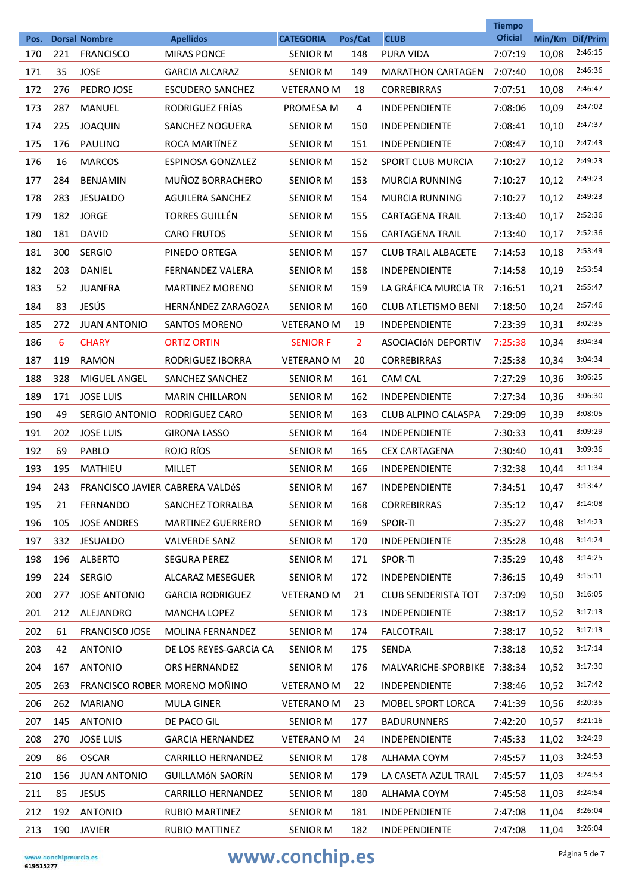|             |     |                                          |                                        |                              |                       |                            | <b>Tiempo</b>             |                |                            |
|-------------|-----|------------------------------------------|----------------------------------------|------------------------------|-----------------------|----------------------------|---------------------------|----------------|----------------------------|
| Pos.<br>170 | 221 | <b>Dorsal Nombre</b><br><b>FRANCISCO</b> | <b>Apellidos</b><br><b>MIRAS PONCE</b> | <b>CATEGORIA</b><br>SENIOR M | Pos/Cat<br>148        | <b>CLUB</b><br>PURA VIDA   | <b>Oficial</b><br>7:07:19 |                | Min/Km Dif/Prim<br>2:46:15 |
| 171         | 35  | <b>JOSE</b>                              | <b>GARCIA ALCARAZ</b>                  | <b>SENIOR M</b>              | 149                   | <b>MARATHON CARTAGEN</b>   | 7:07:40                   | 10,08<br>10,08 | 2:46:36                    |
| 172         | 276 | PEDRO JOSE                               | <b>ESCUDERO SANCHEZ</b>                | <b>VETERANO M</b>            | 18                    | <b>CORREBIRRAS</b>         | 7:07:51                   | 10,08          | 2:46:47                    |
| 173         | 287 | <b>MANUEL</b>                            | RODRIGUEZ FRÍAS                        | PROMESA M                    | 4                     | <b>INDEPENDIENTE</b>       | 7:08:06                   | 10,09          | 2:47:02                    |
| 174         | 225 | <b>JOAQUIN</b>                           | SANCHEZ NOGUERA                        | <b>SENIOR M</b>              | 150                   | INDEPENDIENTE              | 7:08:41                   | 10,10          | 2:47:37                    |
| 175         | 176 | PAULINO                                  | ROCA MARTÍNEZ                          | <b>SENIOR M</b>              | 151                   | <b>INDEPENDIENTE</b>       | 7:08:47                   | 10,10          | 2:47:43                    |
| 176         | 16  | <b>MARCOS</b>                            | ESPINOSA GONZALEZ                      | SENIOR M                     | 152                   | SPORT CLUB MURCIA          | 7:10:27                   | 10,12          | 2:49:23                    |
| 177         | 284 | <b>BENJAMIN</b>                          | MUÑOZ BORRACHERO                       | <b>SENIOR M</b>              | 153                   | <b>MURCIA RUNNING</b>      | 7:10:27                   | 10,12          | 2:49:23                    |
| 178         | 283 | <b>JESUALDO</b>                          | AGUILERA SANCHEZ                       | <b>SENIOR M</b>              | 154                   | <b>MURCIA RUNNING</b>      | 7:10:27                   |                | 2:49:23                    |
| 179         | 182 | <b>JORGE</b>                             | <b>TORRES GUILLÉN</b>                  | SENIOR M                     | 155                   | <b>CARTAGENA TRAIL</b>     | 7:13:40                   | 10,12          | 2:52:36                    |
|             |     |                                          |                                        |                              |                       |                            |                           | 10,17          | 2:52:36                    |
| 180         | 181 | <b>DAVID</b>                             | <b>CARO FRUTOS</b>                     | <b>SENIOR M</b>              | 156                   | <b>CARTAGENA TRAIL</b>     | 7:13:40                   | 10,17          |                            |
| 181         | 300 | <b>SERGIO</b>                            | PINEDO ORTEGA                          | SENIOR M                     | 157                   | <b>CLUB TRAIL ALBACETE</b> | 7:14:53                   | 10,18          | 2:53:49                    |
| 182         | 203 | <b>DANIEL</b>                            | <b>FERNANDEZ VALERA</b>                | <b>SENIOR M</b>              | 158                   | <b>INDEPENDIENTE</b>       | 7:14:58                   | 10,19          | 2:53:54                    |
| 183         | 52  | <b>JUANFRA</b>                           | <b>MARTINEZ MORENO</b>                 | <b>SENIOR M</b>              | 159                   | LA GRÁFICA MURCIA TR       | 7:16:51                   | 10,21          | 2:55:47                    |
| 184         | 83  | JESÚS                                    | <b>HERNÁNDEZ ZARAGOZA</b>              | <b>SENIOR M</b>              | 160                   | <b>CLUB ATLETISMO BENI</b> | 7:18:50                   | 10,24          | 2:57:46                    |
| 185         | 272 | <b>JUAN ANTONIO</b>                      | <b>SANTOS MORENO</b>                   | <b>VETERANO M</b>            | 19                    | <b>INDEPENDIENTE</b>       | 7:23:39                   | 10,31          | 3:02:35                    |
| 186         | 6   | <b>CHARY</b>                             | <b>ORTIZ ORTIN</b>                     | <b>SENIOR F</b>              | $\mathbf{2}^{\prime}$ | ASOCIACIÓN DEPORTIV        | 7:25:38                   | 10,34          | 3:04:34                    |
| 187         | 119 | RAMON                                    | RODRIGUEZ IBORRA                       | <b>VETERANO M</b>            | 20                    | <b>CORREBIRRAS</b>         | 7:25:38                   | 10,34          | 3:04:34                    |
| 188         | 328 | <b>MIGUEL ANGEL</b>                      | SANCHEZ SANCHEZ                        | SENIOR M                     | 161                   | <b>CAM CAL</b>             | 7:27:29                   | 10,36          | 3:06:25                    |
| 189         | 171 | <b>JOSE LUIS</b>                         | <b>MARIN CHILLARON</b>                 | <b>SENIOR M</b>              | 162                   | INDEPENDIENTE              | 7:27:34                   | 10,36          | 3:06:30                    |
| 190         | 49  | SERGIO ANTONIO                           | RODRIGUEZ CARO                         | <b>SENIOR M</b>              | 163                   | CLUB ALPINO CALASPA        | 7:29:09                   | 10,39          | 3:08:05                    |
| 191         | 202 | <b>JOSE LUIS</b>                         | <b>GIRONA LASSO</b>                    | SENIOR M                     | 164                   | <b>INDEPENDIENTE</b>       | 7:30:33                   | 10,41          | 3:09:29                    |
| 192         | 69  | PABLO                                    | ROJO RÍOS                              | <b>SENIOR M</b>              | 165                   | <b>CEX CARTAGENA</b>       | 7:30:40                   | 10,41          | 3:09:36                    |
| 193         | 195 | <b>MATHIEU</b>                           | <b>MILLET</b>                          | SENIOR M                     | 166                   | <b>INDEPENDIENTE</b>       | 7:32:38                   | 10,44          | 3:11:34                    |
| 194         | 243 | FRANCISCO JAVIER CABRERA VALDÉS          |                                        | <b>SENIOR M</b>              | 167                   | <b>INDEPENDIENTE</b>       | 7:34:51                   | 10,47          | 3:13:47                    |
| 195         | 21  | <b>FERNANDO</b>                          | SANCHEZ TORRALBA                       | <b>SENIOR M</b>              | 168                   | <b>CORREBIRRAS</b>         | 7:35:12                   | 10,47          | 3:14:08                    |
| 196         | 105 | <b>JOSE ANDRES</b>                       | <b>MARTINEZ GUERRERO</b>               | <b>SENIOR M</b>              | 169                   | SPOR-TI                    | 7:35:27                   | 10,48          | 3:14:23                    |
| 197         | 332 | <b>JESUALDO</b>                          | <b>VALVERDE SANZ</b>                   | SENIOR M                     | 170                   | INDEPENDIENTE              | 7:35:28                   | 10,48          | 3:14:24                    |
| 198         | 196 | <b>ALBERTO</b>                           | <b>SEGURA PEREZ</b>                    | SENIOR M                     | 171                   | SPOR-TI                    | 7:35:29                   | 10,48          | 3:14:25                    |
| 199         | 224 | <b>SERGIO</b>                            | <b>ALCARAZ MESEGUER</b>                | <b>SENIOR M</b>              | 172                   | <b>INDEPENDIENTE</b>       | 7:36:15                   | 10,49          | 3:15:11                    |
| 200         | 277 | <b>JOSE ANTONIO</b>                      | <b>GARCIA RODRIGUEZ</b>                | <b>VETERANO M</b>            | 21                    | <b>CLUB SENDERISTA TOT</b> | 7:37:09                   | 10,50          | 3:16:05                    |
| 201         | 212 | ALEJANDRO                                | <b>MANCHA LOPEZ</b>                    | <b>SENIOR M</b>              | 173                   | INDEPENDIENTE              | 7:38:17                   | 10,52          | 3:17:13                    |
| 202         | 61  | <b>FRANCISCO JOSE</b>                    | <b>MOLINA FERNANDEZ</b>                | SENIOR M                     | 174                   | <b>FALCOTRAIL</b>          | 7:38:17                   | 10,52          | 3:17:13                    |
| 203         | 42  | <b>ANTONIO</b>                           | DE LOS REYES-GARCÍA CA                 | SENIOR M                     | 175                   | SENDA                      | 7:38:18                   | 10,52          | 3:17:14                    |
| 204         | 167 | <b>ANTONIO</b>                           | ORS HERNANDEZ                          | <b>SENIOR M</b>              | 176                   | MALVARICHE-SPORBIKE        | 7:38:34                   | 10,52          | 3:17:30                    |
| 205         | 263 |                                          | FRANCISCO ROBER MORENO MOÑINO          | <b>VETERANO M</b>            | 22                    | INDEPENDIENTE              | 7:38:46                   | 10,52          | 3:17:42                    |
| 206         | 262 | <b>MARIANO</b>                           | <b>MULA GINER</b>                      | <b>VETERANO M</b>            | 23                    | MOBEL SPORT LORCA          | 7:41:39                   | 10,56          | 3:20:35                    |
| 207         | 145 | <b>ANTONIO</b>                           | DE PACO GIL                            | SENIOR M                     | 177                   | <b>BADURUNNERS</b>         | 7:42:20                   | 10,57          | 3:21:16                    |
| 208         | 270 | <b>JOSE LUIS</b>                         | <b>GARCIA HERNANDEZ</b>                | <b>VETERANO M</b>            | 24                    | INDEPENDIENTE              | 7:45:33                   | 11,02          | 3:24:29                    |
| 209         | 86  | <b>OSCAR</b>                             | <b>CARRILLO HERNANDEZ</b>              | SENIOR M                     | 178                   | ALHAMA COYM                | 7:45:57                   | 11,03          | 3:24:53                    |
| 210         | 156 | <b>JUAN ANTONIO</b>                      | <b>GUILLAMÓN SAORÍN</b>                | SENIOR M                     | 179                   | LA CASETA AZUL TRAIL       | 7:45:57                   | 11,03          | 3:24:53                    |
| 211         | 85  | <b>JESUS</b>                             | <b>CARRILLO HERNANDEZ</b>              | SENIOR M                     | 180                   | ALHAMA COYM                | 7:45:58                   | 11,03          | 3:24:54                    |
| 212         | 192 | <b>ANTONIO</b>                           | RUBIO MARTINEZ                         | SENIOR M                     | 181                   | INDEPENDIENTE              | 7:47:08                   | 11,04          | 3:26:04                    |
| 213         | 190 | JAVIER                                   | RUBIO MATTINEZ                         | SENIOR M                     | 182                   | INDEPENDIENTE              | 7:47:08                   | 11,04          | 3:26:04                    |

# **www.conchip.es** Página 5 de 7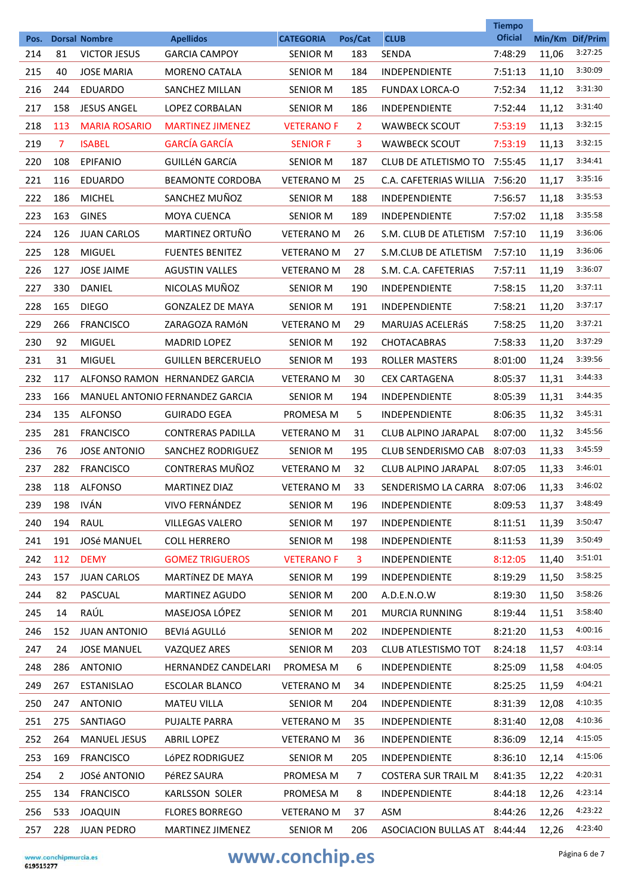|             |                |                                             |                                          |                                     |                |                              | <b>Tiempo</b>             |       |                            |
|-------------|----------------|---------------------------------------------|------------------------------------------|-------------------------------------|----------------|------------------------------|---------------------------|-------|----------------------------|
| Pos.<br>214 | 81             | <b>Dorsal Nombre</b><br><b>VICTOR JESUS</b> | <b>Apellidos</b><br><b>GARCIA CAMPOY</b> | <b>CATEGORIA</b><br><b>SENIOR M</b> | Pos/Cat<br>183 | <b>CLUB</b><br><b>SENDA</b>  | <b>Oficial</b><br>7:48:29 | 11,06 | Min/Km Dif/Prim<br>3:27:25 |
| 215         | 40             | <b>JOSE MARIA</b>                           | <b>MORENO CATALA</b>                     | <b>SENIOR M</b>                     | 184            | <b>INDEPENDIENTE</b>         | 7:51:13                   | 11,10 | 3:30:09                    |
| 216         | 244            | <b>EDUARDO</b>                              | SANCHEZ MILLAN                           | <b>SENIOR M</b>                     | 185            | <b>FUNDAX LORCA-O</b>        | 7:52:34                   | 11,12 | 3:31:30                    |
| 217         | 158            | <b>JESUS ANGEL</b>                          | <b>LOPEZ CORBALAN</b>                    | <b>SENIOR M</b>                     | 186            | <b>INDEPENDIENTE</b>         | 7:52:44                   | 11,12 | 3:31:40                    |
| 218         | 113            | <b>MARIA ROSARIO</b>                        | <b>MARTINEZ JIMENEZ</b>                  | <b>VETERANO F</b>                   | $\overline{2}$ | <b>WAWBECK SCOUT</b>         | 7:53:19                   | 11,13 | 3:32:15                    |
| 219         | $\overline{7}$ | <b>ISABEL</b>                               | <b>GARCÍA GARCÍA</b>                     | <b>SENIOR F</b>                     | 3              | <b>WAWBECK SCOUT</b>         | 7:53:19                   | 11,13 | 3:32:15                    |
| 220         | 108            | <b>EPIFANIO</b>                             | <b>GUILLÉN GARCÍA</b>                    | <b>SENIOR M</b>                     | 187            | CLUB DE ATLETISMO TO         | 7:55:45                   | 11,17 | 3:34:41                    |
| 221         | 116            | <b>EDUARDO</b>                              | <b>BEAMONTE CORDOBA</b>                  | <b>VETERANO M</b>                   | 25             | C.A. CAFETERIAS WILLIA       | 7:56:20                   | 11,17 | 3:35:16                    |
| 222         | 186            | <b>MICHEL</b>                               | SANCHEZ MUÑOZ                            | <b>SENIOR M</b>                     | 188            | <b>INDEPENDIENTE</b>         | 7:56:57                   | 11,18 | 3:35:53                    |
| 223         | 163            | <b>GINES</b>                                | <b>MOYA CUENCA</b>                       | <b>SENIOR M</b>                     | 189            | <b>INDEPENDIENTE</b>         | 7:57:02                   |       | 3:35:58                    |
|             | 126            |                                             | MARTINEZ ORTUÑO                          | <b>VETERANO M</b>                   |                |                              |                           | 11,18 | 3:36:06                    |
| 224         |                | <b>JUAN CARLOS</b>                          |                                          |                                     | 26             | S.M. CLUB DE ATLETISM        | 7:57:10                   | 11,19 | 3:36:06                    |
| 225         | 128            | <b>MIGUEL</b>                               | <b>FUENTES BENITEZ</b>                   | <b>VETERANO M</b>                   | 27             | S.M.CLUB DE ATLETISM         | 7:57:10                   | 11,19 | 3:36:07                    |
| 226         | 127            | <b>JOSE JAIME</b>                           | <b>AGUSTIN VALLES</b>                    | <b>VETERANO M</b>                   | 28             | S.M. C.A. CAFETERIAS         | 7:57:11                   | 11,19 | 3:37:11                    |
| 227         | 330            | <b>DANIEL</b>                               | NICOLAS MUÑOZ                            | <b>SENIOR M</b>                     | 190            | <b>INDEPENDIENTE</b>         | 7:58:15                   | 11,20 | 3:37:17                    |
| 228         | 165            | <b>DIEGO</b>                                | <b>GONZALEZ DE MAYA</b>                  | <b>SENIOR M</b>                     | 191            | <b>INDEPENDIENTE</b>         | 7:58:21                   | 11,20 | 3:37:21                    |
| 229         | 266            | <b>FRANCISCO</b>                            | ZARAGOZA RAMÓN                           | <b>VETERANO M</b>                   | 29             | <b>MARUJAS ACELERÁS</b>      | 7:58:25                   | 11,20 |                            |
| 230         | 92             | <b>MIGUEL</b>                               | <b>MADRID LOPEZ</b>                      | <b>SENIOR M</b>                     | 192            | <b>CHOTACABRAS</b>           | 7:58:33                   | 11,20 | 3:37:29                    |
| 231         | 31             | <b>MIGUEL</b>                               | <b>GUILLEN BERCERUELO</b>                | <b>SENIOR M</b>                     | 193            | <b>ROLLER MASTERS</b>        | 8:01:00                   | 11,24 | 3:39:56                    |
| 232         | 117            |                                             | ALFONSO RAMON HERNANDEZ GARCIA           | <b>VETERANO M</b>                   | 30             | <b>CEX CARTAGENA</b>         | 8:05:37                   | 11,31 | 3:44:33                    |
| 233         | 166            |                                             | MANUEL ANTONIO FERNANDEZ GARCIA          | <b>SENIOR M</b>                     | 194            | <b>INDEPENDIENTE</b>         | 8:05:39                   | 11,31 | 3:44:35                    |
| 234         | 135            | <b>ALFONSO</b>                              | <b>GUIRADO EGEA</b>                      | PROMESA M                           | 5              | INDEPENDIENTE                | 8:06:35                   | 11,32 | 3:45:31                    |
| 235         | 281            | <b>FRANCISCO</b>                            | <b>CONTRERAS PADILLA</b>                 | <b>VETERANO M</b>                   | 31             | <b>CLUB ALPINO JARAPAL</b>   | 8:07:00                   | 11,32 | 3:45:56                    |
| 236         | 76             | <b>JOSE ANTONIO</b>                         | <b>SANCHEZ RODRIGUEZ</b>                 | <b>SENIOR M</b>                     | 195            | <b>CLUB SENDERISMO CAB</b>   | 8:07:03                   | 11,33 | 3:45:59                    |
| 237         | 282            | <b>FRANCISCO</b>                            | CONTRERAS MUÑOZ                          | <b>VETERANO M</b>                   | 32             | <b>CLUB ALPINO JARAPAL</b>   | 8:07:05                   | 11,33 | 3:46:01                    |
| 238         | 118            | <b>ALFONSO</b>                              | <b>MARTINEZ DIAZ</b>                     | <b>VETERANO M</b>                   | 33             | SENDERISMO LA CARRA          | 8:07:06                   | 11,33 | 3:46:02                    |
| 239         | 198            | <b>IVÁN</b>                                 | VIVO FERNÁNDEZ                           | <b>SENIOR M</b>                     | 196            | INDEPENDIENTE                | 8:09:53                   | 11,37 | 3:48:49                    |
| 240         | 194            | RAUL                                        | <b>VILLEGAS VALERO</b>                   | SENIOR M                            | 197            | INDEPENDIENTE                | 8:11:51                   | 11,39 | 3:50:47                    |
| 241         | 191            | <b>JOSé MANUEL</b>                          | <b>COLL HERRERO</b>                      | SENIOR M                            | 198            | <b>INDEPENDIENTE</b>         | 8:11:53                   | 11,39 | 3:50:49                    |
| 242         | 112            | <b>DEMY</b>                                 | <b>GOMEZ TRIGUEROS</b>                   | <b>VETERANO F</b>                   | 3              | INDEPENDIENTE                | 8:12:05                   | 11,40 | 3:51:01                    |
| 243         | 157            | <b>JUAN CARLOS</b>                          | MARTÍNEZ DE MAYA                         | <b>SENIOR M</b>                     | 199            | INDEPENDIENTE                | 8:19:29                   | 11,50 | 3:58:25                    |
| 244         | 82             | PASCUAL                                     | <b>MARTINEZ AGUDO</b>                    | SENIOR M                            | 200            | A.D.E.N.O.W                  | 8:19:30                   | 11,50 | 3:58:26                    |
| 245         | 14             | RAÚL                                        | MASEJOSA LÓPEZ                           | <b>SENIOR M</b>                     | 201            | MURCIA RUNNING               | 8:19:44                   | 11,51 | 3:58:40                    |
| 246         | 152            | <b>JUAN ANTONIO</b>                         | BEVIá AGULLÓ                             | SENIOR M                            | 202            | INDEPENDIENTE                | 8:21:20                   | 11,53 | 4:00:16                    |
| 247         | 24             | <b>JOSE MANUEL</b>                          | VAZQUEZ ARES                             | SENIOR M                            | 203            | CLUB ATLESTISMO TOT          | 8:24:18                   | 11,57 | 4:03:14                    |
| 248         | 286            | <b>ANTONIO</b>                              | <b>HERNANDEZ CANDELARI</b>               | PROMESA M                           | 6              | INDEPENDIENTE                | 8:25:09                   | 11,58 | 4:04:05                    |
| 249         | 267            | <b>ESTANISLAO</b>                           | <b>ESCOLAR BLANCO</b>                    | <b>VETERANO M</b>                   | 34             | INDEPENDIENTE                | 8:25:25                   | 11,59 | 4:04:21                    |
| 250         | 247            | <b>ANTONIO</b>                              | <b>MATEU VILLA</b>                       | SENIOR M                            | 204            | <b>INDEPENDIENTE</b>         | 8:31:39                   | 12,08 | 4:10:35                    |
| 251         | 275            | SANTIAGO                                    | PUJALTE PARRA                            | <b>VETERANO M</b>                   | 35             | INDEPENDIENTE                | 8:31:40                   | 12,08 | 4:10:36                    |
| 252         | 264            | MANUEL JESUS                                | <b>ABRIL LOPEZ</b>                       | <b>VETERANO M</b>                   | 36             | INDEPENDIENTE                | 8:36:09                   | 12,14 | 4:15:05                    |
| 253         | 169            | <b>FRANCISCO</b>                            | LÓPEZ RODRIGUEZ                          | SENIOR M                            | 205            | <b>INDEPENDIENTE</b>         | 8:36:10                   | 12,14 | 4:15:06                    |
| 254         | $\overline{2}$ | <b>JOSé ANTONIO</b>                         | PéREZ SAURA                              | PROMESA M                           | 7              | <b>COSTERA SUR TRAIL M</b>   | 8:41:35                   | 12,22 | 4:20:31                    |
| 255         | 134            | <b>FRANCISCO</b>                            | <b>KARLSSON SOLER</b>                    | PROMESA M                           | 8              | INDEPENDIENTE                | 8:44:18                   | 12,26 | 4:23:14                    |
| 256         | 533            | <b>JOAQUIN</b>                              | <b>FLORES BORREGO</b>                    | <b>VETERANO M</b>                   | 37             | ASM                          | 8:44:26                   | 12,26 | 4:23:22                    |
| 257         | 228            | <b>JUAN PEDRO</b>                           | MARTINEZ JIMENEZ                         | SENIOR M                            | 206            | ASOCIACION BULLAS AT 8:44:44 |                           | 12,26 | 4:23:40                    |

## **www.conchip.es** Página 6 de 7